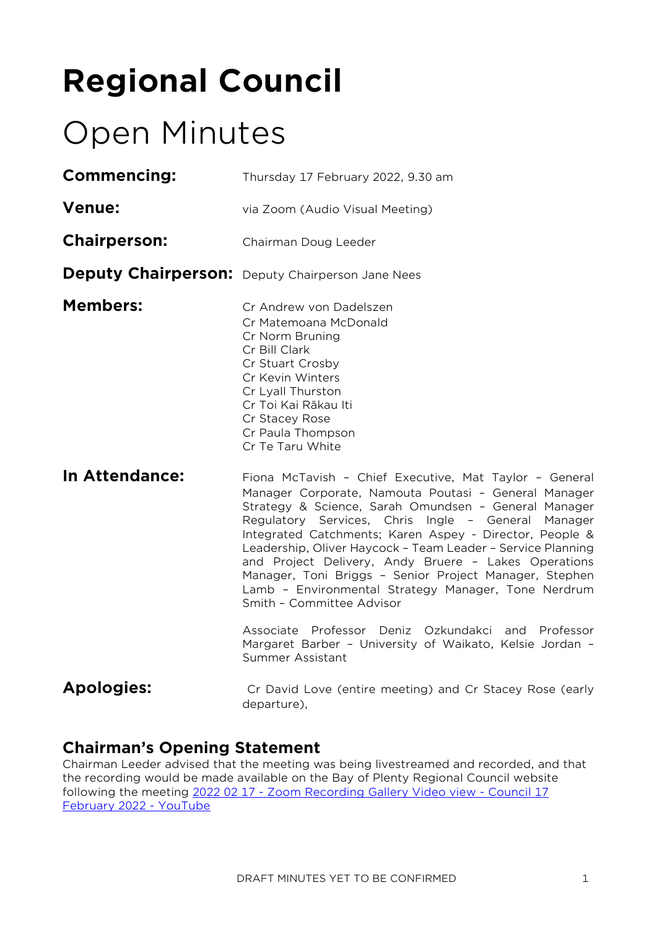# **Regional Council**

# Open Minutes

| Thursday 17 February 2022, 9.30 am                                                                                                                                                                                                                                                                                                                                                                                                                                                                                                                                                                                                                                             |  |  |  |
|--------------------------------------------------------------------------------------------------------------------------------------------------------------------------------------------------------------------------------------------------------------------------------------------------------------------------------------------------------------------------------------------------------------------------------------------------------------------------------------------------------------------------------------------------------------------------------------------------------------------------------------------------------------------------------|--|--|--|
| via Zoom (Audio Visual Meeting)                                                                                                                                                                                                                                                                                                                                                                                                                                                                                                                                                                                                                                                |  |  |  |
| Chairman Doug Leeder                                                                                                                                                                                                                                                                                                                                                                                                                                                                                                                                                                                                                                                           |  |  |  |
| <b>Deputy Chairperson:</b> Deputy Chairperson Jane Nees                                                                                                                                                                                                                                                                                                                                                                                                                                                                                                                                                                                                                        |  |  |  |
| Cr Andrew von Dadelszen<br>Cr Matemoana McDonald<br>Cr Norm Bruning<br>Cr Bill Clark<br>Cr Stuart Crosby<br>Cr Kevin Winters<br>Cr Lyall Thurston<br>Cr Toi Kai Rākau Iti<br>Cr Stacey Rose<br>Cr Paula Thompson<br>Cr Te Taru White                                                                                                                                                                                                                                                                                                                                                                                                                                           |  |  |  |
| Fiona McTavish - Chief Executive, Mat Taylor - General<br>Manager Corporate, Namouta Poutasi - General Manager<br>Strategy & Science, Sarah Omundsen - General Manager<br>Regulatory Services, Chris Ingle - General Manager<br>Integrated Catchments; Karen Aspey - Director, People &<br>Leadership, Oliver Haycock - Team Leader - Service Planning<br>and Project Delivery, Andy Bruere - Lakes Operations<br>Manager, Toni Briggs - Senior Project Manager, Stephen<br>Lamb - Environmental Strategy Manager, Tone Nerdrum<br>Smith - Committee Advisor<br>Associate Professor Deniz Ozkundakci and Professor<br>Margaret Barber - University of Waikato, Kelsie Jordan - |  |  |  |
|                                                                                                                                                                                                                                                                                                                                                                                                                                                                                                                                                                                                                                                                                |  |  |  |

Summer Assistant Apologies: Cr David Love (entire meeting) and Cr Stacey Rose (early

departure),

# **Chairman's Opening Statement**

Chairman Leeder advised that the meeting was being livestreamed and recorded, and that the recording would be made available on the Bay of Plenty Regional Council website following the meeting 2022 02 17 - [Zoom Recording Gallery Video view -](https://www.youtube.com/watch?v=z9E4Upi6INY) Council 17 [February 2022 -](https://www.youtube.com/watch?v=z9E4Upi6INY) YouTube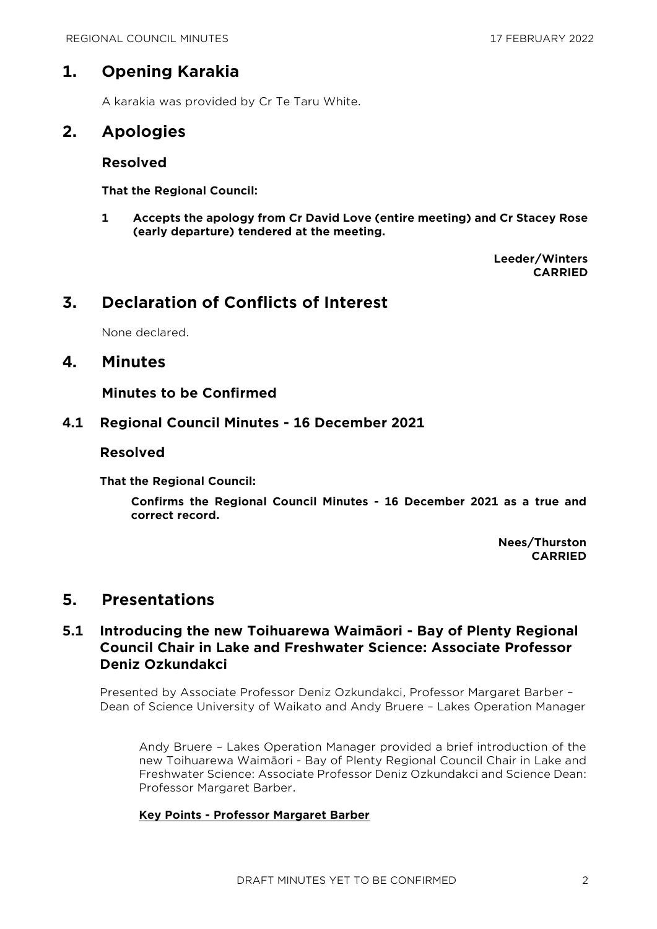# **1. Opening Karakia**

A karakia was provided by Cr Te Taru White.

# **2. Apologies**

## **Resolved**

**That the Regional Council:**

**1 Accepts the apology from Cr David Love (entire meeting) and Cr Stacey Rose (early departure) tendered at the meeting.**

> **Leeder/Winters CARRIED**

# **3. Declaration of Conflicts of Interest**

None declared.

## **4. Minutes**

**Minutes to be Confirmed**

## **4.1 Regional Council Minutes - 16 December 2021**

## **Resolved**

**That the Regional Council:**

**Confirms the Regional Council Minutes - 16 December 2021 as a true and correct record.**

> **Nees/Thurston CARRIED**

## **5. Presentations**

## **5.1 Introducing the new Toihuarewa Waimāori - Bay of Plenty Regional Council Chair in Lake and Freshwater Science: Associate Professor Deniz Ozkundakci**

Presented by Associate Professor Deniz Ozkundakci, Professor Margaret Barber – Dean of Science University of Waikato and Andy Bruere – Lakes Operation Manager

Andy Bruere – Lakes Operation Manager provided a brief introduction of the new Toihuarewa Waimāori - Bay of Plenty Regional Council Chair in Lake and Freshwater Science: Associate Professor Deniz Ozkundakci and Science Dean: Professor Margaret Barber.

#### **Key Points - Professor Margaret Barber**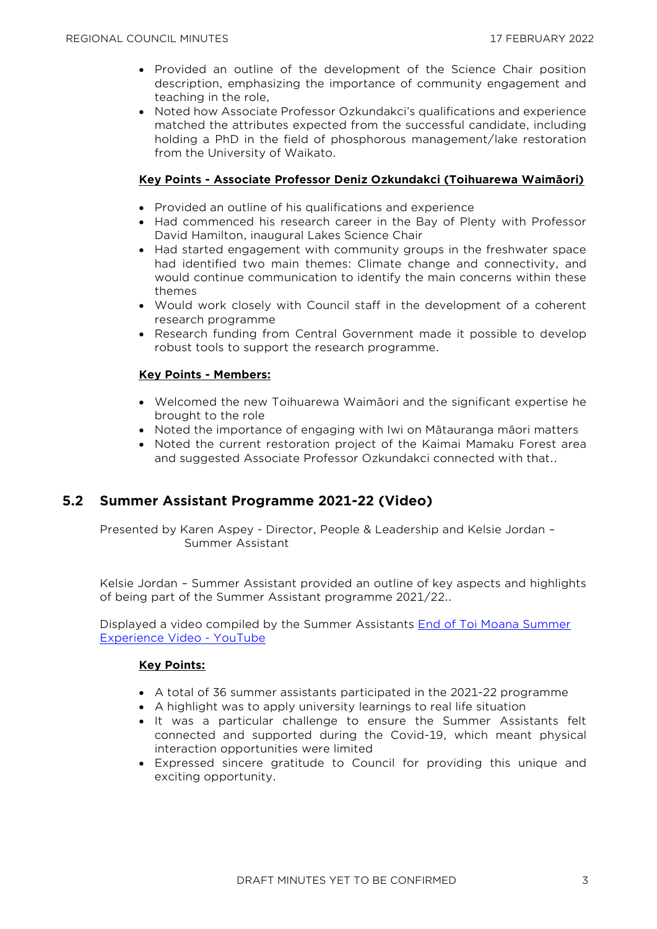- Provided an outline of the development of the Science Chair position description, emphasizing the importance of community engagement and teaching in the role,
- Noted how Associate Professor Ozkundakci's qualifications and experience matched the attributes expected from the successful candidate, including holding a PhD in the field of phosphorous management/lake restoration from the University of Waikato.

## **Key Points - Associate Professor Deniz Ozkundakci (Toihuarewa Waimāori)**

- Provided an outline of his qualifications and experience
- Had commenced his research career in the Bay of Plenty with Professor David Hamilton, inaugural Lakes Science Chair
- Had started engagement with community groups in the freshwater space had identified two main themes: Climate change and connectivity, and would continue communication to identify the main concerns within these themes
- Would work closely with Council staff in the development of a coherent research programme
- Research funding from Central Government made it possible to develop robust tools to support the research programme.

## **Key Points - Members:**

- Welcomed the new Toihuarewa Waimāori and the significant expertise he brought to the role
- Noted the importance of engaging with Iwi on Mātauranga māori matters
- Noted the current restoration project of the Kaimai Mamaku Forest area and suggested Associate Professor Ozkundakci connected with that..

## **5.2 Summer Assistant Programme 2021-22 (Video)**

Presented by Karen Aspey - Director, People & Leadership and Kelsie Jordan – Summer Assistant

Kelsie Jordan – Summer Assistant provided an outline of key aspects and highlights of being part of the Summer Assistant programme 2021/22..

Displayed a video compiled by the Summer Assistants [End of Toi Moana Summer](https://www.youtube.com/watch?v=oxU3eCQY4MQ)  [Experience Video -](https://www.youtube.com/watch?v=oxU3eCQY4MQ) YouTube

#### **Key Points:**

- A total of 36 summer assistants participated in the 2021-22 programme
- A highlight was to apply university learnings to real life situation
- It was a particular challenge to ensure the Summer Assistants felt connected and supported during the Covid-19, which meant physical interaction opportunities were limited
- Expressed sincere gratitude to Council for providing this unique and exciting opportunity.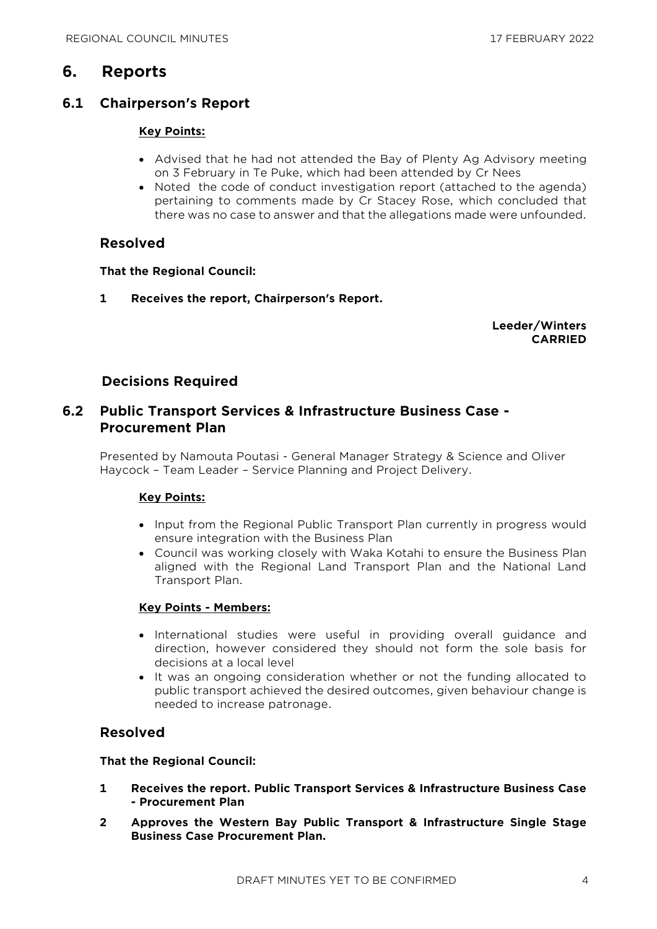# **6. Reports**

## **6.1 Chairperson's Report**

#### **Key Points:**

- Advised that he had not attended the Bay of Plenty Ag Advisory meeting on 3 February in Te Puke, which had been attended by Cr Nees
- Noted the code of conduct investigation report (attached to the agenda) pertaining to comments made by Cr Stacey Rose, which concluded that there was no case to answer and that the allegations made were unfounded.

## **Resolved**

#### **That the Regional Council:**

**1 Receives the report, Chairperson's Report.**

**Leeder/Winters CARRIED**

## **Decisions Required**

## **6.2 Public Transport Services & Infrastructure Business Case - Procurement Plan**

Presented by Namouta Poutasi - General Manager Strategy & Science and Oliver Haycock – Team Leader – Service Planning and Project Delivery.

#### **Key Points:**

- Input from the Regional Public Transport Plan currently in progress would ensure integration with the Business Plan
- Council was working closely with Waka Kotahi to ensure the Business Plan aligned with the Regional Land Transport Plan and the National Land Transport Plan.

## **Key Points - Members:**

- International studies were useful in providing overall guidance and direction, however considered they should not form the sole basis for decisions at a local level
- It was an ongoing consideration whether or not the funding allocated to public transport achieved the desired outcomes, given behaviour change is needed to increase patronage.

## **Resolved**

#### **That the Regional Council:**

- **1 Receives the report. Public Transport Services & Infrastructure Business Case - Procurement Plan**
- **2 Approves the Western Bay Public Transport & Infrastructure Single Stage Business Case Procurement Plan.**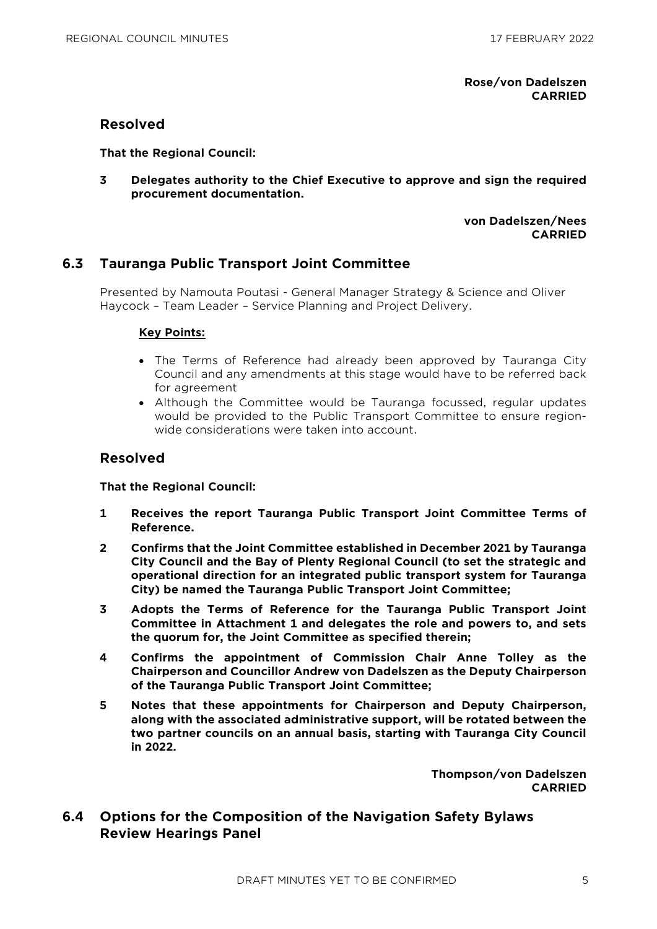**Rose/von Dadelszen CARRIED**

#### **Resolved**

**That the Regional Council:**

**3 Delegates authority to the Chief Executive to approve and sign the required procurement documentation.**

> **von Dadelszen/Nees CARRIED**

## **6.3 Tauranga Public Transport Joint Committee**

Presented by Namouta Poutasi - General Manager Strategy & Science and Oliver Haycock – Team Leader – Service Planning and Project Delivery.

## **Key Points:**

- The Terms of Reference had already been approved by Tauranga City Council and any amendments at this stage would have to be referred back for agreement
- Although the Committee would be Tauranga focussed, regular updates would be provided to the Public Transport Committee to ensure regionwide considerations were taken into account.

## **Resolved**

**That the Regional Council:**

- **1 Receives the report Tauranga Public Transport Joint Committee Terms of Reference.**
- **2 Confirms that the Joint Committee established in December 2021 by Tauranga City Council and the Bay of Plenty Regional Council (to set the strategic and operational direction for an integrated public transport system for Tauranga City) be named the Tauranga Public Transport Joint Committee;**
- **3 Adopts the Terms of Reference for the Tauranga Public Transport Joint Committee in Attachment 1 and delegates the role and powers to, and sets the quorum for, the Joint Committee as specified therein;**
- **4 Confirms the appointment of Commission Chair Anne Tolley as the Chairperson and Councillor Andrew von Dadelszen as the Deputy Chairperson of the Tauranga Public Transport Joint Committee;**
- **5 Notes that these appointments for Chairperson and Deputy Chairperson, along with the associated administrative support, will be rotated between the two partner councils on an annual basis, starting with Tauranga City Council in 2022.**

**Thompson/von Dadelszen CARRIED**

**6.4 Options for the Composition of the Navigation Safety Bylaws Review Hearings Panel**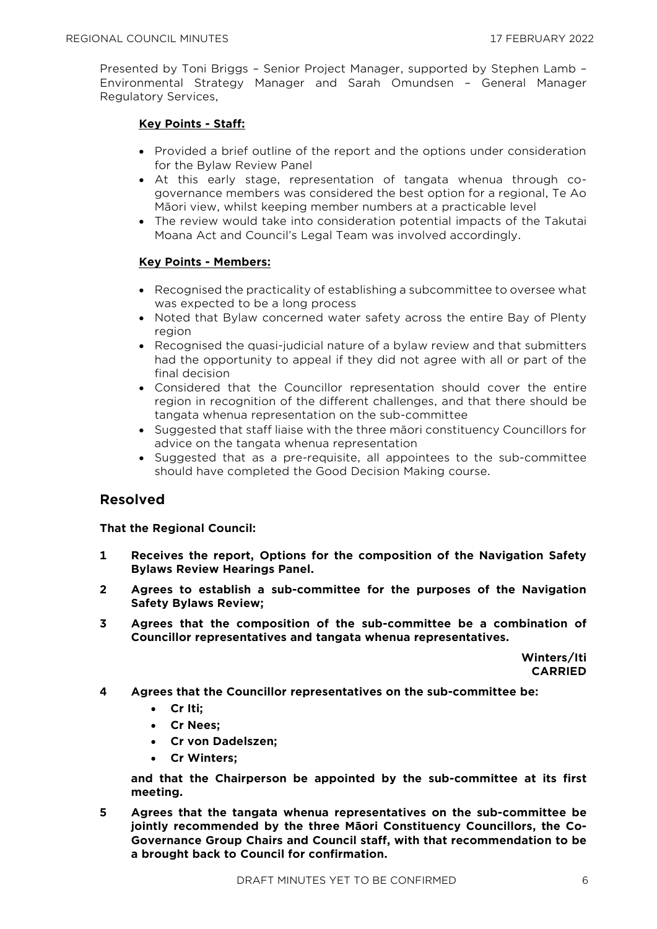Presented by Toni Briggs – Senior Project Manager, supported by Stephen Lamb – Environmental Strategy Manager and Sarah Omundsen – General Manager Regulatory Services,

#### **Key Points - Staff:**

- Provided a brief outline of the report and the options under consideration for the Bylaw Review Panel
- At this early stage, representation of tangata whenua through cogovernance members was considered the best option for a regional, Te Ao Māori view, whilst keeping member numbers at a practicable level
- The review would take into consideration potential impacts of the Takutai Moana Act and Council's Legal Team was involved accordingly.

#### **Key Points - Members:**

- Recognised the practicality of establishing a subcommittee to oversee what was expected to be a long process
- Noted that Bylaw concerned water safety across the entire Bay of Plenty region
- Recognised the quasi-judicial nature of a bylaw review and that submitters had the opportunity to appeal if they did not agree with all or part of the final decision
- Considered that the Councillor representation should cover the entire region in recognition of the different challenges, and that there should be tangata whenua representation on the sub-committee
- Suggested that staff liaise with the three maori constituency Councillors for advice on the tangata whenua representation
- Suggested that as a pre-requisite, all appointees to the sub-committee should have completed the Good Decision Making course.

## **Resolved**

#### **That the Regional Council:**

- **1 Receives the report, Options for the composition of the Navigation Safety Bylaws Review Hearings Panel.**
- **2 Agrees to establish a sub-committee for the purposes of the Navigation Safety Bylaws Review;**
- **3 Agrees that the composition of the sub-committee be a combination of Councillor representatives and tangata whenua representatives.**

**Winters/Iti CARRIED**

- **4 Agrees that the Councillor representatives on the sub-committee be:**
	- **Cr Iti;**
	- **Cr Nees;**
	- **Cr von Dadelszen;**
	- **Cr Winters;**

**and that the Chairperson be appointed by the sub-committee at its first meeting.**

**5 Agrees that the tangata whenua representatives on the sub-committee be jointly recommended by the three Māori Constituency Councillors, the Co-Governance Group Chairs and Council staff, with that recommendation to be a brought back to Council for confirmation.**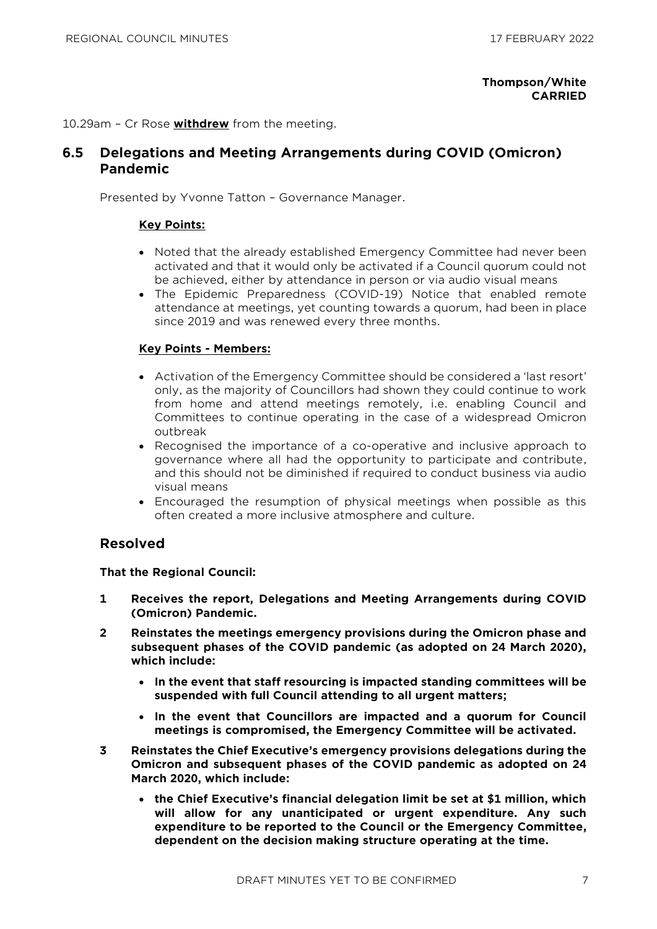#### **Thompson/White CARRIED**

10.29am – Cr Rose **withdrew** from the meeting.

## **6.5 Delegations and Meeting Arrangements during COVID (Omicron) Pandemic**

Presented by Yvonne Tatton – Governance Manager.

#### **Key Points:**

- Noted that the already established Emergency Committee had never been activated and that it would only be activated if a Council quorum could not be achieved, either by attendance in person or via audio visual means
- The Epidemic Preparedness (COVID-19) Notice that enabled remote attendance at meetings, yet counting towards a quorum, had been in place since 2019 and was renewed every three months.

#### **Key Points - Members:**

- Activation of the Emergency Committee should be considered a 'last resort' only, as the majority of Councillors had shown they could continue to work from home and attend meetings remotely, i.e. enabling Council and Committees to continue operating in the case of a widespread Omicron outbreak
- Recognised the importance of a co-operative and inclusive approach to governance where all had the opportunity to participate and contribute, and this should not be diminished if required to conduct business via audio visual means
- Encouraged the resumption of physical meetings when possible as this often created a more inclusive atmosphere and culture.

#### **Resolved**

#### **That the Regional Council:**

- **1 Receives the report, Delegations and Meeting Arrangements during COVID (Omicron) Pandemic.**
- **2 Reinstates the meetings emergency provisions during the Omicron phase and subsequent phases of the COVID pandemic (as adopted on 24 March 2020), which include:**
	- **In the event that staff resourcing is impacted standing committees will be suspended with full Council attending to all urgent matters;**
	- **In the event that Councillors are impacted and a quorum for Council meetings is compromised, the Emergency Committee will be activated.**
- **3 Reinstates the Chief Executive's emergency provisions delegations during the Omicron and subsequent phases of the COVID pandemic as adopted on 24 March 2020, which include:**
	- **the Chief Executive's financial delegation limit be set at \$1 million, which will allow for any unanticipated or urgent expenditure. Any such expenditure to be reported to the Council or the Emergency Committee, dependent on the decision making structure operating at the time.**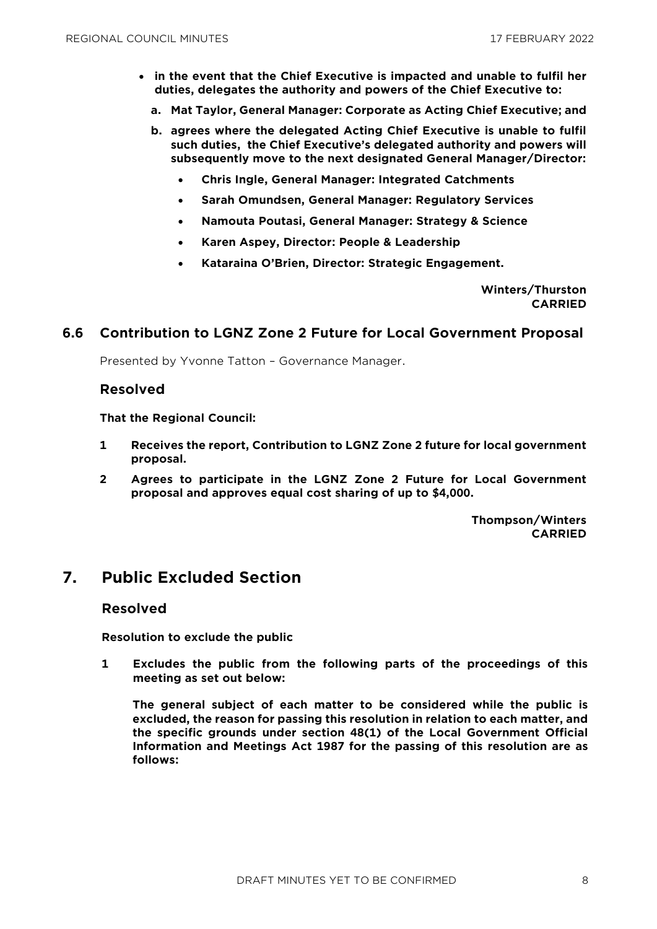- **in the event that the Chief Executive is impacted and unable to fulfil her duties, delegates the authority and powers of the Chief Executive to:**
	- **a. Mat Taylor, General Manager: Corporate as Acting Chief Executive; and**
	- **b. agrees where the delegated Acting Chief Executive is unable to fulfil such duties, the Chief Executive's delegated authority and powers will subsequently move to the next designated General Manager/Director:**
		- **Chris Ingle, General Manager: Integrated Catchments**
		- **Sarah Omundsen, General Manager: Regulatory Services**
		- **Namouta Poutasi, General Manager: Strategy & Science**
		- **Karen Aspey, Director: People & Leadership**
		- **Kataraina O'Brien, Director: Strategic Engagement.**

**Winters/Thurston CARRIED**

#### **6.6 Contribution to LGNZ Zone 2 Future for Local Government Proposal**

Presented by Yvonne Tatton – Governance Manager.

#### **Resolved**

**That the Regional Council:**

- **1 Receives the report, Contribution to LGNZ Zone 2 future for local government proposal.**
- **2 Agrees to participate in the LGNZ Zone 2 Future for Local Government proposal and approves equal cost sharing of up to \$4,000.**

**Thompson/Winters CARRIED**

# **7. Public Excluded Section**

#### **Resolved**

**Resolution to exclude the public**

**1 Excludes the public from the following parts of the proceedings of this meeting as set out below:**

**The general subject of each matter to be considered while the public is excluded, the reason for passing this resolution in relation to each matter, and the specific grounds under section 48(1) of the Local Government Official Information and Meetings Act 1987 for the passing of this resolution are as follows:**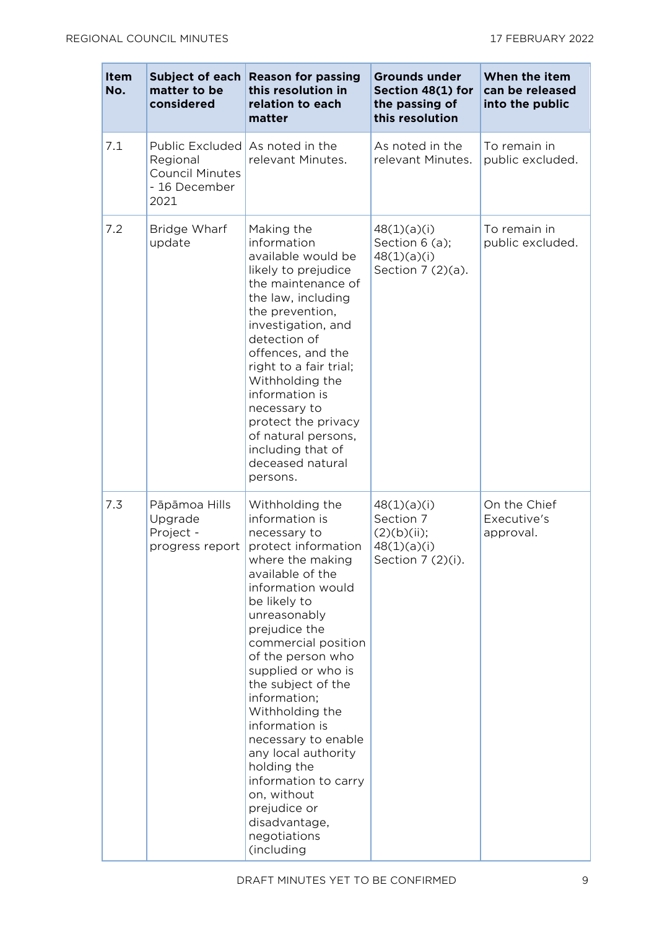| <b>Item</b><br>No. | Subject of each<br>matter to be<br>considered                                  | <b>Reason for passing</b><br>this resolution in<br>relation to each<br>matter                                                                                                                                                                                                                                                                                                                                                                                                                          | <b>Grounds under</b><br>Section 48(1) for<br>the passing of<br>this resolution | When the item<br>can be released<br>into the public |
|--------------------|--------------------------------------------------------------------------------|--------------------------------------------------------------------------------------------------------------------------------------------------------------------------------------------------------------------------------------------------------------------------------------------------------------------------------------------------------------------------------------------------------------------------------------------------------------------------------------------------------|--------------------------------------------------------------------------------|-----------------------------------------------------|
| 7.1                | Public Excluded<br>Regional<br><b>Council Minutes</b><br>- 16 December<br>2021 | As noted in the<br>relevant Minutes.                                                                                                                                                                                                                                                                                                                                                                                                                                                                   | As noted in the<br>relevant Minutes.                                           | To remain in<br>public excluded.                    |
| 7.2                | Bridge Wharf<br>update                                                         | Making the<br>information<br>available would be<br>likely to prejudice<br>the maintenance of<br>the law, including<br>the prevention,<br>investigation, and<br>detection of<br>offences, and the<br>right to a fair trial;<br>Withholding the<br>information is<br>necessary to<br>protect the privacy<br>of natural persons,<br>including that of<br>deceased natural<br>persons.                                                                                                                     | 48(1)(a)(i)<br>Section 6 (a);<br>48(1)(a)(i)<br>Section 7 (2)(a).              | To remain in<br>public excluded.                    |
| 7.3                | Pāpāmoa Hills<br>Upgrade<br>Project -<br>progress report                       | Withholding the<br>information is<br>necessary to<br>protect information<br>where the making<br>available of the<br>information would<br>be likely to<br>unreasonably<br>prejudice the<br>commercial position<br>of the person who<br>supplied or who is<br>the subject of the<br>information;<br>Withholding the<br>information is<br>necessary to enable<br>any local authority<br>holding the<br>information to carry<br>on, without<br>prejudice or<br>disadvantage,<br>negotiations<br>(including | 48(1)(a)(i)<br>Section 7<br>(2)(b)(ii);<br>48(1)(a)(i)<br>Section 7 (2)(i).    | On the Chief<br>Executive's<br>approval.            |